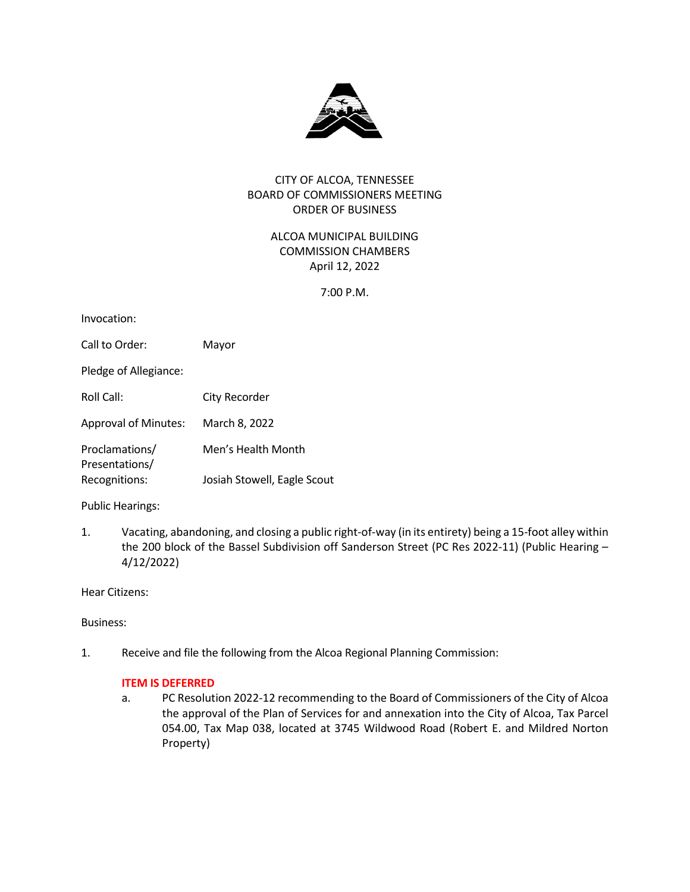

# CITY OF ALCOA, TENNESSEE BOARD OF COMMISSIONERS MEETING ORDER OF BUSINESS

ALCOA MUNICIPAL BUILDING COMMISSION CHAMBERS April 12, 2022

7:00 P.M.

| Invocation:                      |                             |
|----------------------------------|-----------------------------|
| Call to Order:                   | Mayor                       |
| Pledge of Allegiance:            |                             |
| Roll Call:                       | City Recorder               |
| <b>Approval of Minutes:</b>      | March 8, 2022               |
| Proclamations/<br>Presentations/ | Men's Health Month          |
| Recognitions:                    | Josiah Stowell, Eagle Scout |
|                                  |                             |

Public Hearings:

1. Vacating, abandoning, and closing a public right-of-way (in its entirety) being a 15-foot alley within the 200 block of the Bassel Subdivision off Sanderson Street (PC Res 2022-11) (Public Hearing – 4/12/2022)

Hear Citizens:

Business:

1. Receive and file the following from the Alcoa Regional Planning Commission:

# **ITEM IS DEFERRED**

a. PC Resolution 2022-12 recommending to the Board of Commissioners of the City of Alcoa the approval of the Plan of Services for and annexation into the City of Alcoa, Tax Parcel 054.00, Tax Map 038, located at 3745 Wildwood Road (Robert E. and Mildred Norton Property)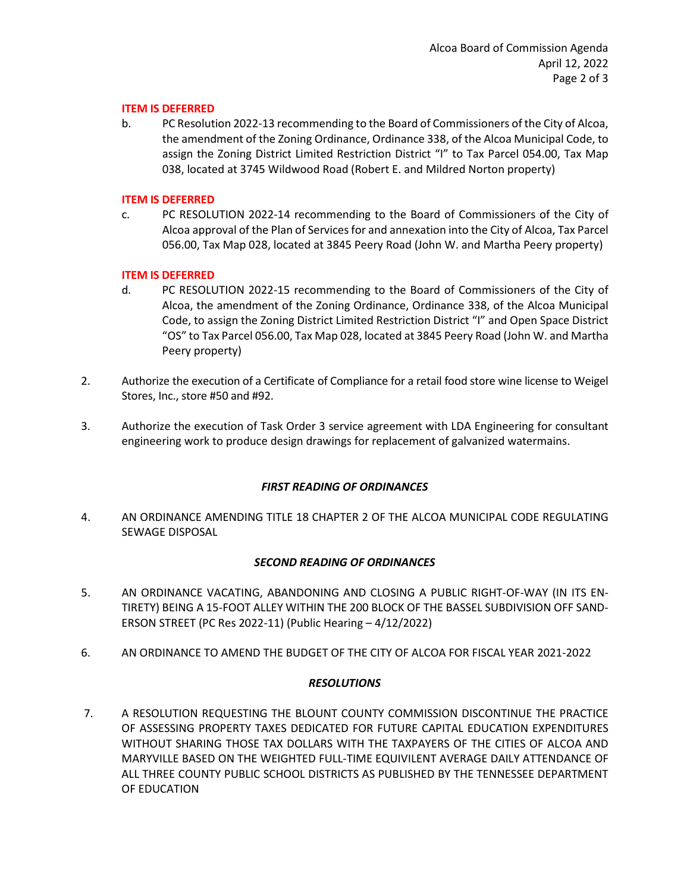### **ITEM IS DEFERRED**

b. PC Resolution 2022-13 recommending to the Board of Commissioners of the City of Alcoa, the amendment of the Zoning Ordinance, Ordinance 338, of the Alcoa Municipal Code, to assign the Zoning District Limited Restriction District "I" to Tax Parcel 054.00, Tax Map 038, located at 3745 Wildwood Road (Robert E. and Mildred Norton property)

### **ITEM IS DEFERRED**

c. PC RESOLUTION 2022-14 recommending to the Board of Commissioners of the City of Alcoa approval of the Plan of Services for and annexation into the City of Alcoa, Tax Parcel 056.00, Tax Map 028, located at 3845 Peery Road (John W. and Martha Peery property)

# **ITEM IS DEFERRED**

- d. PC RESOLUTION 2022-15 recommending to the Board of Commissioners of the City of Alcoa, the amendment of the Zoning Ordinance, Ordinance 338, of the Alcoa Municipal Code, to assign the Zoning District Limited Restriction District "I" and Open Space District "OS" to Tax Parcel 056.00, Tax Map 028, located at 3845 Peery Road (John W. and Martha Peery property)
- 2. Authorize the execution of a Certificate of Compliance for a retail food store wine license to Weigel Stores, Inc., store #50 and #92.
- 3. Authorize the execution of Task Order 3 service agreement with LDA Engineering for consultant engineering work to produce design drawings for replacement of galvanized watermains.

## *FIRST READING OF ORDINANCES*

4. AN ORDINANCE AMENDING TITLE 18 CHAPTER 2 OF THE ALCOA MUNICIPAL CODE REGULATING SEWAGE DISPOSAL

#### *SECOND READING OF ORDINANCES*

- 5. AN ORDINANCE VACATING, ABANDONING AND CLOSING A PUBLIC RIGHT-OF-WAY (IN ITS EN-TIRETY) BEING A 15-FOOT ALLEY WITHIN THE 200 BLOCK OF THE BASSEL SUBDIVISION OFF SAND-ERSON STREET (PC Res 2022-11) (Public Hearing – 4/12/2022)
- 6. AN ORDINANCE TO AMEND THE BUDGET OF THE CITY OF ALCOA FOR FISCAL YEAR 2021-2022

## *RESOLUTIONS*

7. A RESOLUTION REQUESTING THE BLOUNT COUNTY COMMISSION DISCONTINUE THE PRACTICE OF ASSESSING PROPERTY TAXES DEDICATED FOR FUTURE CAPITAL EDUCATION EXPENDITURES WITHOUT SHARING THOSE TAX DOLLARS WITH THE TAXPAYERS OF THE CITIES OF ALCOA AND MARYVILLE BASED ON THE WEIGHTED FULL-TIME EQUIVILENT AVERAGE DAILY ATTENDANCE OF ALL THREE COUNTY PUBLIC SCHOOL DISTRICTS AS PUBLISHED BY THE TENNESSEE DEPARTMENT OF EDUCATION